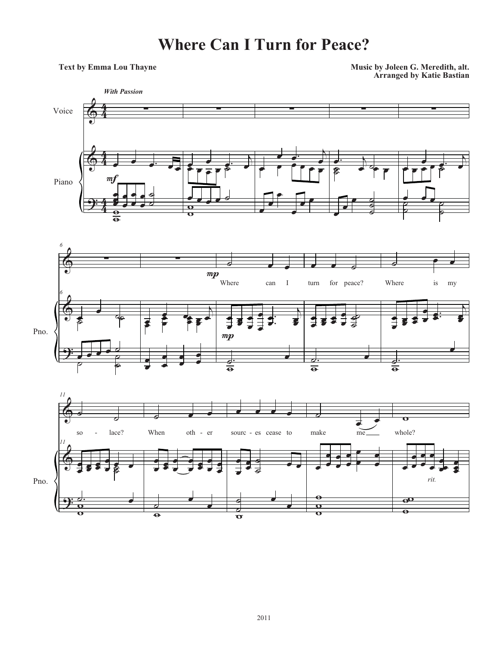## **Where Can I Turn for Peace?**

**Arranged by Katie Bastian Text by Emma Lou Thayne Music by Joleen G. Meredith, alt.**





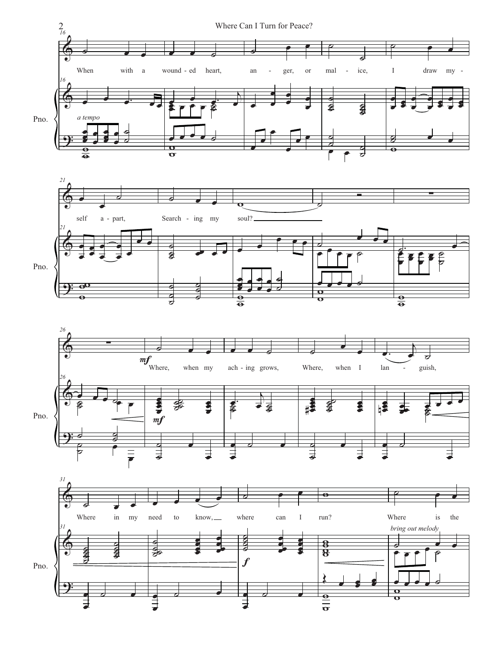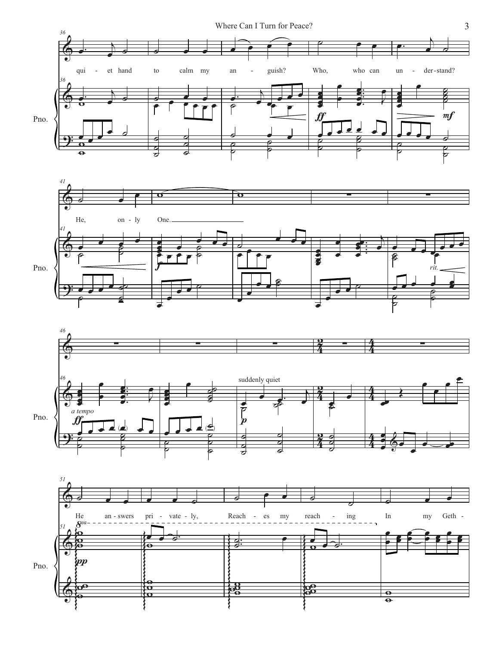